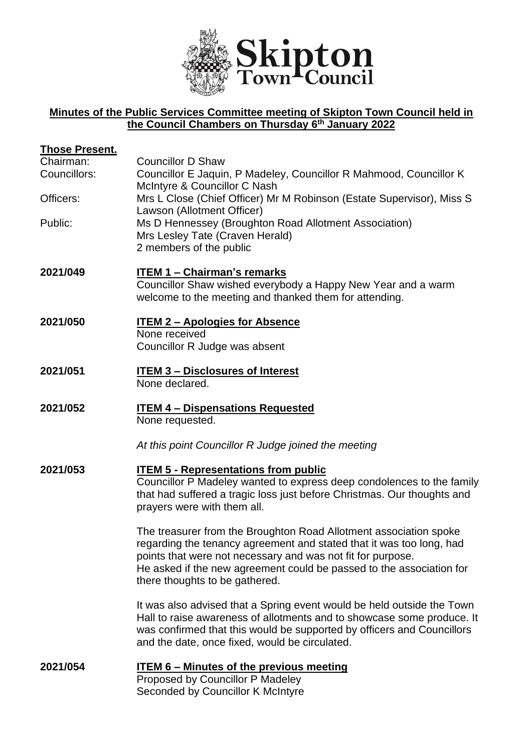

## **Minutes of the Public Services Committee meeting of Skipton Town Council held in the Council Chambers on Thursday 6 th January 2022**

| Those Present. |                                                                                                                                                                                                                                                                                                                    |
|----------------|--------------------------------------------------------------------------------------------------------------------------------------------------------------------------------------------------------------------------------------------------------------------------------------------------------------------|
| Chairman:      | <b>Councillor D Shaw</b>                                                                                                                                                                                                                                                                                           |
| Councillors:   | Councillor E Jaquin, P Madeley, Councillor R Mahmood, Councillor K<br>McIntyre & Councillor C Nash                                                                                                                                                                                                                 |
| Officers:      | Mrs L Close (Chief Officer) Mr M Robinson (Estate Supervisor), Miss S<br>Lawson (Allotment Officer)                                                                                                                                                                                                                |
| Public:        | Ms D Hennessey (Broughton Road Allotment Association)<br>Mrs Lesley Tate (Craven Herald)<br>2 members of the public                                                                                                                                                                                                |
| 2021/049       | <b>ITEM 1 - Chairman's remarks</b><br>Councillor Shaw wished everybody a Happy New Year and a warm<br>welcome to the meeting and thanked them for attending.                                                                                                                                                       |
| 2021/050       | <b>ITEM 2 - Apologies for Absence</b><br>None received<br>Councillor R Judge was absent                                                                                                                                                                                                                            |
| 2021/051       | <b>ITEM 3 - Disclosures of Interest</b><br>None declared.                                                                                                                                                                                                                                                          |
| 2021/052       | <b>ITEM 4 - Dispensations Requested</b><br>None requested.                                                                                                                                                                                                                                                         |
|                | At this point Councillor R Judge joined the meeting                                                                                                                                                                                                                                                                |
| 2021/053       | <b>ITEM 5 - Representations from public</b><br>Councillor P Madeley wanted to express deep condolences to the family<br>that had suffered a tragic loss just before Christmas. Our thoughts and<br>prayers were with them all.                                                                                     |
|                | The treasurer from the Broughton Road Allotment association spoke<br>regarding the tenancy agreement and stated that it was too long, had<br>points that were not necessary and was not fit for purpose.<br>He asked if the new agreement could be passed to the association for<br>there thoughts to be gathered. |
|                | It was also advised that a Spring event would be held outside the Town<br>Hall to raise awareness of allotments and to showcase some produce. It<br>was confirmed that this would be supported by officers and Councillors<br>and the date, once fixed, would be circulated.                                       |
| 2021/054       | <b>ITEM 6 - Minutes of the previous meeting</b><br>Proposed by Councillor P Madeley<br>Seconded by Councillor K McIntyre                                                                                                                                                                                           |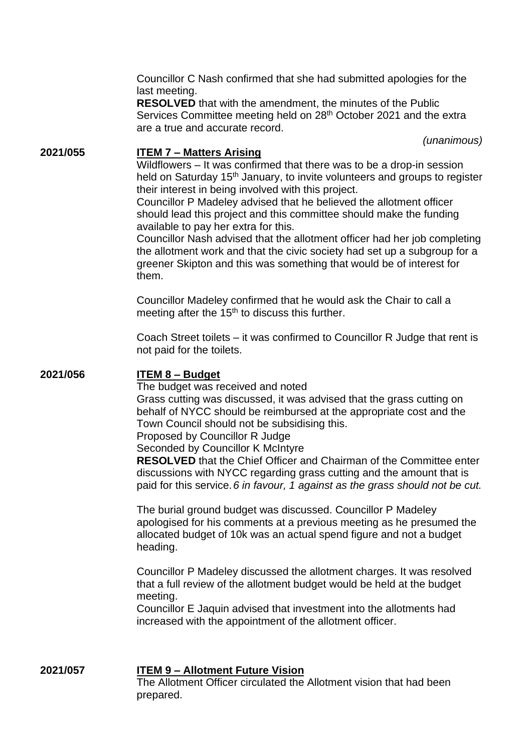Councillor C Nash confirmed that she had submitted apologies for the last meeting.

**RESOLVED** that with the amendment, the minutes of the Public Services Committee meeting held on 28<sup>th</sup> October 2021 and the extra are a true and accurate record.

*(unanimous)*

# **2021/055 ITEM 7 – Matters Arising**

Wildflowers – It was confirmed that there was to be a drop-in session held on Saturday 15<sup>th</sup> January, to invite volunteers and groups to register their interest in being involved with this project.

Councillor P Madeley advised that he believed the allotment officer should lead this project and this committee should make the funding available to pay her extra for this.

Councillor Nash advised that the allotment officer had her job completing the allotment work and that the civic society had set up a subgroup for a greener Skipton and this was something that would be of interest for them.

Councillor Madeley confirmed that he would ask the Chair to call a meeting after the  $15<sup>th</sup>$  to discuss this further.

Coach Street toilets – it was confirmed to Councillor R Judge that rent is not paid for the toilets.

### **2021/056 ITEM 8 – Budget**

The budget was received and noted Grass cutting was discussed, it was advised that the grass cutting on behalf of NYCC should be reimbursed at the appropriate cost and the Town Council should not be subsidising this.

Proposed by Councillor R Judge

Seconded by Councillor K McIntyre

**RESOLVED** that the Chief Officer and Chairman of the Committee enter discussions with NYCC regarding grass cutting and the amount that is paid for this service.*6 in favour, 1 against as the grass should not be cut.* 

The burial ground budget was discussed. Councillor P Madeley apologised for his comments at a previous meeting as he presumed the allocated budget of 10k was an actual spend figure and not a budget heading.

Councillor P Madeley discussed the allotment charges. It was resolved that a full review of the allotment budget would be held at the budget meeting.

Councillor E Jaquin advised that investment into the allotments had increased with the appointment of the allotment officer.

**2021/057 ITEM 9 – Allotment Future Vision** The Allotment Officer circulated the Allotment vision that had been prepared.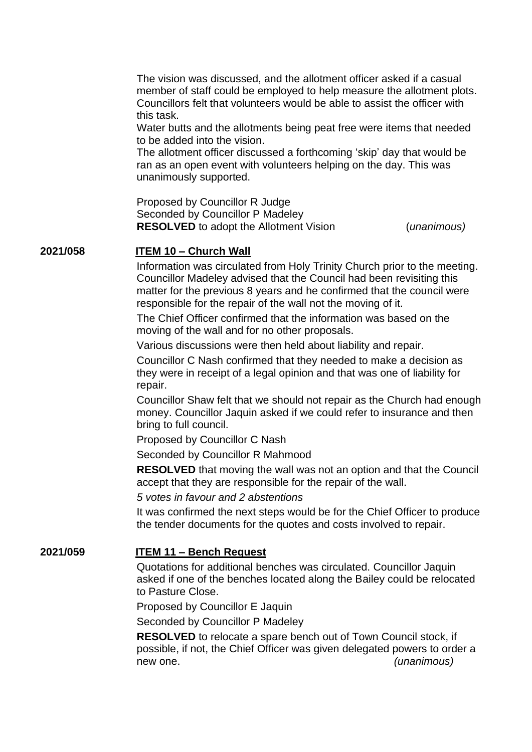The vision was discussed, and the allotment officer asked if a casual member of staff could be employed to help measure the allotment plots. Councillors felt that volunteers would be able to assist the officer with this task.

Water butts and the allotments being peat free were items that needed to be added into the vision.

The allotment officer discussed a forthcoming 'skip' day that would be ran as an open event with volunteers helping on the day. This was unanimously supported.

Proposed by Councillor R Judge Seconded by Councillor P Madeley **RESOLVED** to adopt the Allotment Vision (*unanimous)*

#### **2021/058 ITEM 10 – Church Wall**

Information was circulated from Holy Trinity Church prior to the meeting. Councillor Madeley advised that the Council had been revisiting this matter for the previous 8 years and he confirmed that the council were responsible for the repair of the wall not the moving of it.

The Chief Officer confirmed that the information was based on the moving of the wall and for no other proposals.

Various discussions were then held about liability and repair.

Councillor C Nash confirmed that they needed to make a decision as they were in receipt of a legal opinion and that was one of liability for repair.

Councillor Shaw felt that we should not repair as the Church had enough money. Councillor Jaquin asked if we could refer to insurance and then bring to full council.

Proposed by Councillor C Nash

Seconded by Councillor R Mahmood

**RESOLVED** that moving the wall was not an option and that the Council accept that they are responsible for the repair of the wall.

*5 votes in favour and 2 abstentions*

It was confirmed the next steps would be for the Chief Officer to produce the tender documents for the quotes and costs involved to repair.

### **2021/059 ITEM 11 – Bench Request**

Quotations for additional benches was circulated. Councillor Jaquin asked if one of the benches located along the Bailey could be relocated to Pasture Close.

Proposed by Councillor E Jaquin

Seconded by Councillor P Madeley

**RESOLVED** to relocate a spare bench out of Town Council stock, if possible, if not, the Chief Officer was given delegated powers to order a new one. *(unanimous)*